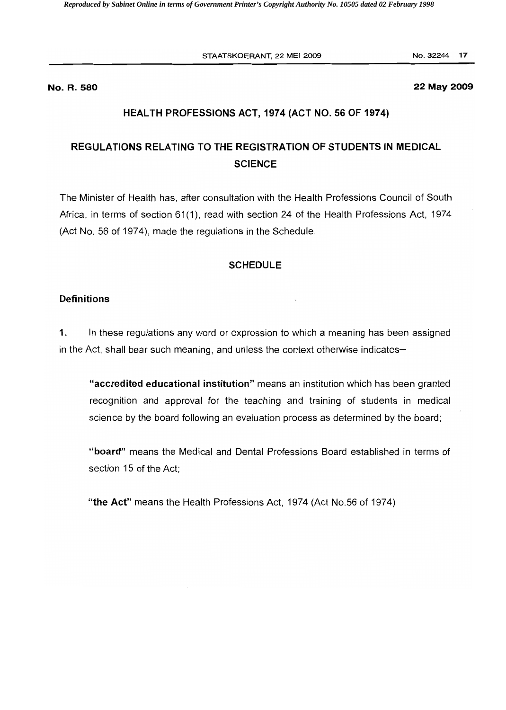STAATSKOERANT, 22 MEI 2009 No. 32244 17

#### **No. R. 580 22 May 2009**

#### **HEALTH PROFESSIONS ACT, 1974 (ACT NO. 56 OF 1974)**

# **REGULATIONS RELATING TO THE REGISTRATION OF STUDENTS IN MEDICAL SCIENCE**

The Minister of Health has, after consultation with the Health Professions Council of South Africa, in terms of section 61(1), read with section 24 of the Health Professions Act, 1974 (Act No. 56 of 1974), made the regulations in the Schedule.

#### **SCHEDULE**

#### **Definitions**

**1.** In these regulations any word or expression to which a meaning has been assigned in the Act, shall bear such meaning, and unless the context otherwise indicates

**"accredited educational institution"** means an institution which has been granted recognition and approval for the teaching and training of students in medical science by the board following an evaluation process as determined by the board;

**"board"** means the Medical and Dental Professions Board established in terms of section 15 of the Act;

**"the Act"** means the Health Professions Act, 1974 (Act NO.56 of 1974)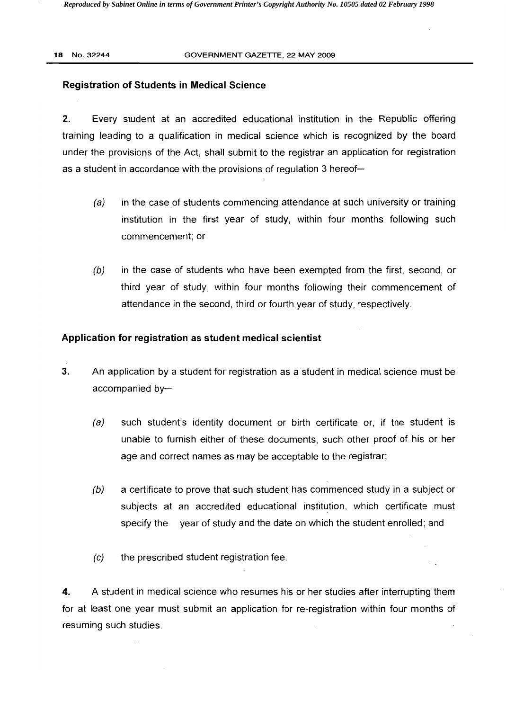#### **18** NO.32244 GOVERNMENT GAZETTE, 22 MAY 2009

### **Registration of Students in Medical Science**

**2.** Every student at an accredited educational institution in the Republic offering training leading to a qualification in medical science which is recognized by the board under the provisions of the Act, shall submit to the registrar an application for registration as a student in accordance with the provisions of regulation 3 hereof

- $(a)$  in the case of students commencing attendance at such university or training institution in the first year of study, within four months following such commencement; or
- $(b)$  in the case of students who have been exempted from the first, second, or third year of study, within four months following their commencement of attendance in the second, third or fourth year of study, respectively.

# **Application for registration as student medical scientist**

- 3. An application by a student for registration as a student in medical science must be accompanied by
	- (a) such student's identity document or birth certificate or, if the student is unable to furnish either of these documents, such other proof of his or her age and correct names as may be acceptable to the registrar;
	- $(b)$  a certificate to prove that such student has commenced study in a subject or subjects at an accredited educational institution, which certificate must specify the year of study and the date on which the student enrolled; and
	- (c) the prescribed student registration fee.

**4.** A student in medical science who resumes his or her studies after interrupting them for at least one year must submit an application for re-registration within four months of resuming such studies.